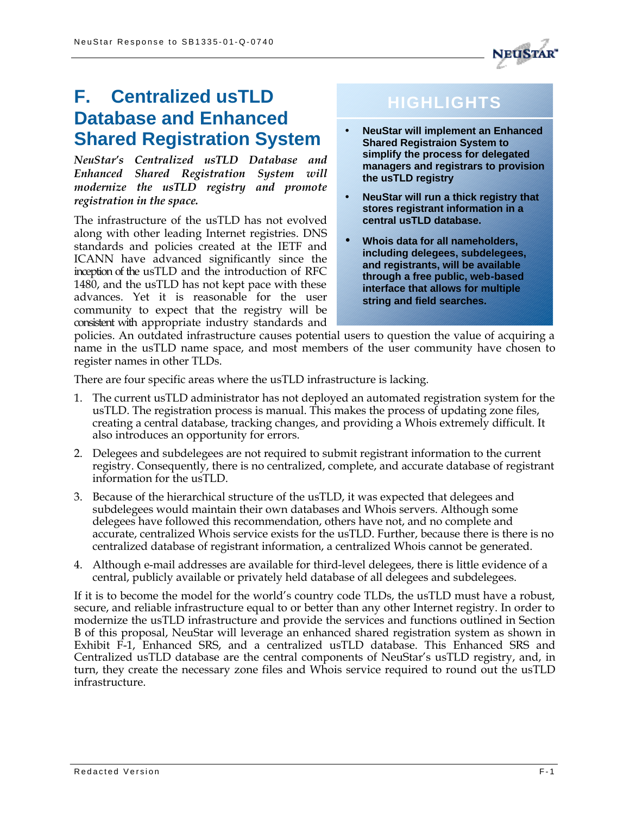

# **F. Centralized usTLD Database and Enhanced Shared Registration System**

*NeuStar's Centralized usTLD Database and Enhanced Shared Registration System will modernize the usTLD registry and promote registration in the space.*

The infrastructure of the usTLD has not evolved along with other leading Internet registries. DNS standards and policies created at the IETF and ICANN have advanced significantly since the inception of the usTLD and the introduction of RFC 1480, and the usTLD has not kept pace with these advances. Yet it is reasonable for the user community to expect that the registry will be consistent with appropriate industry standards and

# **HIGHLIGHTS**

- **NeuStar will implement an Enhanced Shared Registraion System to simplify the process for delegated managers and registrars to provision the usTLD registry**
- **NeuStar will run a thick registry that stores registrant information in a central usTLD database.**
- **Whois data for all nameholders, including delegees, subdelegees, and registrants, will be available through a free public, web-based interface that allows for multiple string and field searches.**

policies. An outdated infrastructure causes potential users to question the value of acquiring a name in the usTLD name space, and most members of the user community have chosen to register names in other TLDs.

There are four specific areas where the usTLD infrastructure is lacking.

- 1. The current usTLD administrator has not deployed an automated registration system for the usTLD. The registration process is manual. This makes the process of updating zone files, creating a central database, tracking changes, and providing a Whois extremely difficult. It also introduces an opportunity for errors.
- 2. Delegees and subdelegees are not required to submit registrant information to the current registry. Consequently, there is no centralized, complete, and accurate database of registrant information for the usTLD.
- 3. Because of the hierarchical structure of the usTLD, it was expected that delegees and subdelegees would maintain their own databases and Whois servers. Although some delegees have followed this recommendation, others have not, and no complete and accurate, centralized Whois service exists for the usTLD. Further, because there is there is no centralized database of registrant information, a centralized Whois cannot be generated.
- 4. Although e-mail addresses are available for third-level delegees, there is little evidence of a central, publicly available or privately held database of all delegees and subdelegees.

If it is to become the model for the world's country code TLDs, the usTLD must have a robust, secure, and reliable infrastructure equal to or better than any other Internet registry. In order to modernize the usTLD infrastructure and provide the services and functions outlined in Section B of this proposal, NeuStar will leverage an enhanced shared registration system as shown in Exhibit F-1, Enhanced SRS, and a centralized usTLD database. This Enhanced SRS and Centralized usTLD database are the central components of NeuStar's usTLD registry, and, in turn, they create the necessary zone files and Whois service required to round out the usTLD infrastructure.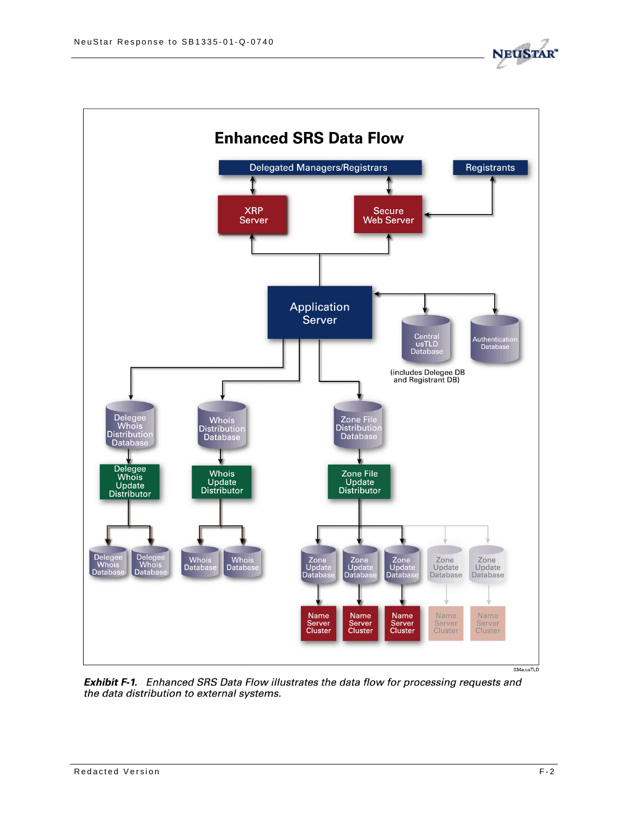



Exhibit F-1. Enhanced SRS Data Flow illustrates the data flow for processing requests and the data distribution to external systems.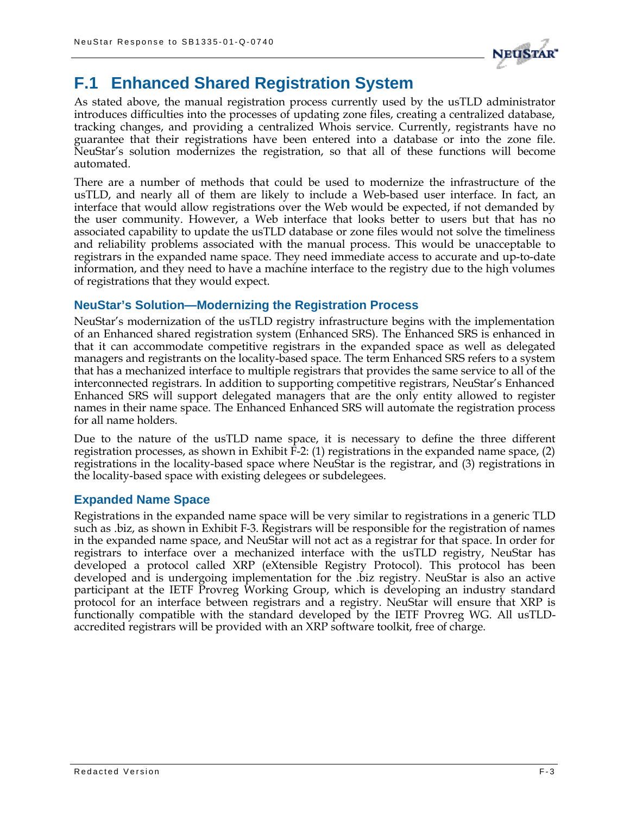

# **F.1 Enhanced Shared Registration System**

As stated above, the manual registration process currently used by the usTLD administrator introduces difficulties into the processes of updating zone files, creating a centralized database, tracking changes, and providing a centralized Whois service. Currently, registrants have no guarantee that their registrations have been entered into a database or into the zone file. NeuStar's solution modernizes the registration, so that all of these functions will become automated.

There are a number of methods that could be used to modernize the infrastructure of the usTLD, and nearly all of them are likely to include a Web-based user interface. In fact, an interface that would allow registrations over the Web would be expected, if not demanded by the user community. However, a Web interface that looks better to users but that has no associated capability to update the usTLD database or zone files would not solve the timeliness and reliability problems associated with the manual process. This would be unacceptable to registrars in the expanded name space. They need immediate access to accurate and up-to-date information, and they need to have a machine interface to the registry due to the high volumes of registrations that they would expect.

## **NeuStar's Solution—Modernizing the Registration Process**

NeuStar's modernization of the usTLD registry infrastructure begins with the implementation of an Enhanced shared registration system (Enhanced SRS). The Enhanced SRS is enhanced in that it can accommodate competitive registrars in the expanded space as well as delegated managers and registrants on the locality-based space. The term Enhanced SRS refers to a system that has a mechanized interface to multiple registrars that provides the same service to all of the interconnected registrars. In addition to supporting competitive registrars, NeuStar's Enhanced Enhanced SRS will support delegated managers that are the only entity allowed to register names in their name space. The Enhanced Enhanced SRS will automate the registration process for all name holders.

Due to the nature of the usTLD name space, it is necessary to define the three different registration processes, as shown in Exhibit F-2: (1) registrations in the expanded name space, (2) registrations in the locality-based space where NeuStar is the registrar, and (3) registrations in the locality-based space with existing delegees or subdelegees.

### **Expanded Name Space**

Registrations in the expanded name space will be very similar to registrations in a generic TLD such as .biz, as shown in Exhibit F-3. Registrars will be responsible for the registration of names in the expanded name space, and NeuStar will not act as a registrar for that space. In order for registrars to interface over a mechanized interface with the usTLD registry, NeuStar has developed a protocol called XRP (eXtensible Registry Protocol). This protocol has been developed and is undergoing implementation for the .biz registry. NeuStar is also an active participant at the IETF Provreg Working Group, which is developing an industry standard protocol for an interface between registrars and a registry. NeuStar will ensure that XRP is functionally compatible with the standard developed by the IETF Provreg WG. All usTLDaccredited registrars will be provided with an XRP software toolkit, free of charge.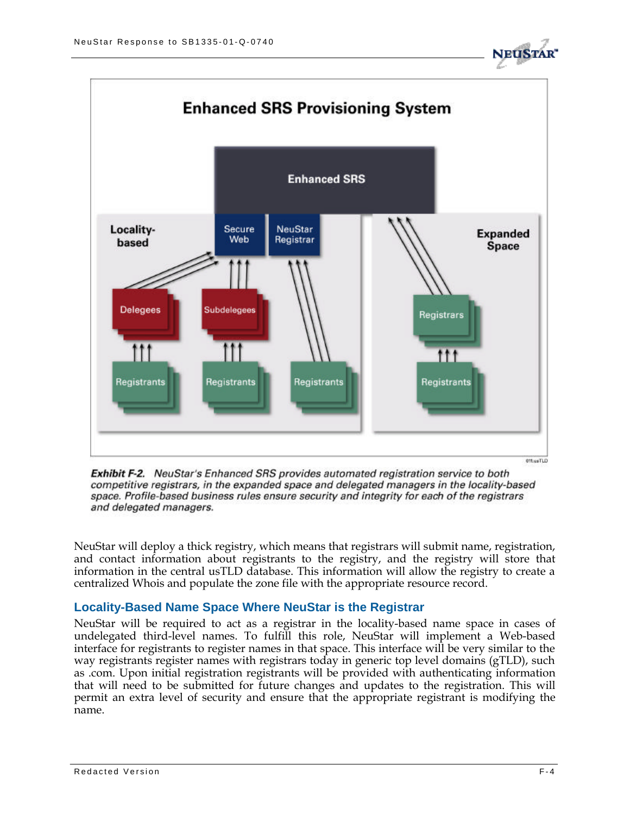





NeuStar will deploy a thick registry, which means that registrars will submit name, registration, and contact information about registrants to the registry, and the registry will store that information in the central usTLD database. This information will allow the registry to create a centralized Whois and populate the zone file with the appropriate resource record.

### **Locality-Based Name Space Where NeuStar is the Registrar**

NeuStar will be required to act as a registrar in the locality-based name space in cases of undelegated third-level names. To fulfill this role, NeuStar will implement a Web-based interface for registrants to register names in that space. This interface will be very similar to the way registrants register names with registrars today in generic top level domains (gTLD), such as .com. Upon initial registration registrants will be provided with authenticating information that will need to be submitted for future changes and updates to the registration. This will permit an extra level of security and ensure that the appropriate registrant is modifying the name.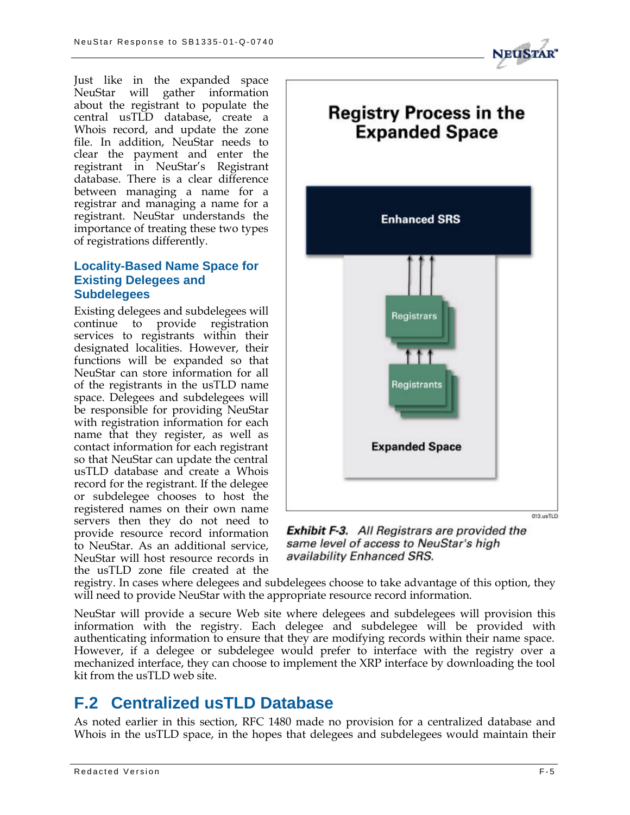Just like in the expanded space NeuStar will gather information about the registrant to populate the central usTLD database, create a Whois record, and update the zone file. In addition, NeuStar needs to clear the payment and enter the registrant in NeuStar's Registrant database. There is a clear difference between managing a name for a registrar and managing a name for a registrant. NeuStar understands the importance of treating these two types of registrations differently.

# **Locality-Based Name Space for Existing Delegees and Subdelegees**

Existing delegees and subdelegees will continue to provide registration services to registrants within their designated localities. However, their functions will be expanded so that NeuStar can store information for all of the registrants in the usTLD name space. Delegees and subdelegees will be responsible for providing NeuStar with registration information for each name that they register, as well as contact information for each registrant so that NeuStar can update the central usTLD database and create a Whois record for the registrant. If the delegee or subdelegee chooses to host the registered names on their own name servers then they do not need to provide resource record information to NeuStar. As an additional service, NeuStar will host resource records in the usTLD zone file created at the



**Exhibit F-3.** All Registrars are provided the same level of access to NeuStar's high availability Enhanced SRS.

registry. In cases where delegees and subdelegees choose to take advantage of this option, they will need to provide NeuStar with the appropriate resource record information.

NeuStar will provide a secure Web site where delegees and subdelegees will provision this information with the registry. Each delegee and subdelegee will be provided with authenticating information to ensure that they are modifying records within their name space. However, if a delegee or subdelegee would prefer to interface with the registry over a mechanized interface, they can choose to implement the XRP interface by downloading the tool kit from the usTLD web site.

# **F.2 Centralized usTLD Database**

As noted earlier in this section, RFC 1480 made no provision for a centralized database and Whois in the usTLD space, in the hopes that delegees and subdelegees would maintain their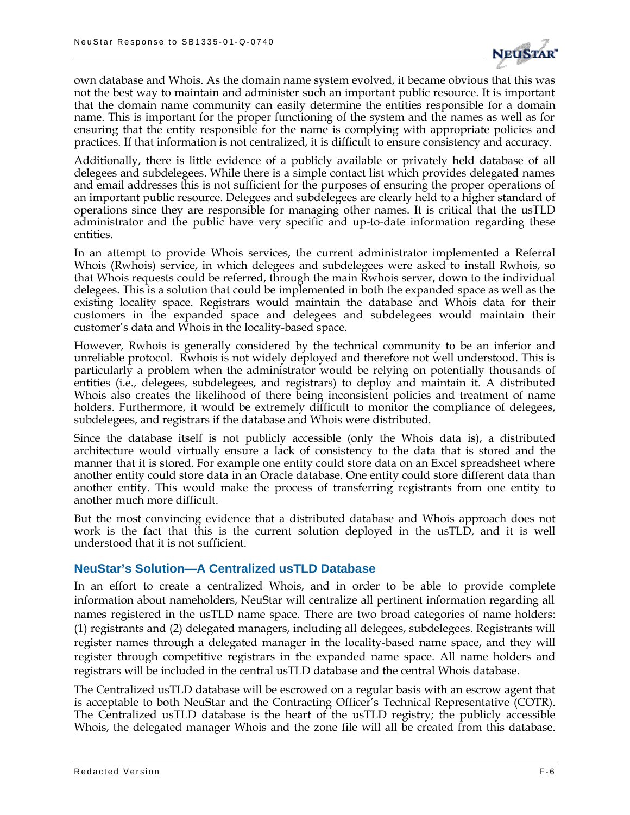

own database and Whois. As the domain name system evolved, it became obvious that this was not the best way to maintain and administer such an important public resource. It is important that the domain name community can easily determine the entities responsible for a domain name. This is important for the proper functioning of the system and the names as well as for ensuring that the entity responsible for the name is complying with appropriate policies and practices. If that information is not centralized, it is difficult to ensure consistency and accuracy.

Additionally, there is little evidence of a publicly available or privately held database of all delegees and subdelegees. While there is a simple contact list which provides delegated names and email addresses this is not sufficient for the purposes of ensuring the proper operations of an important public resource. Delegees and subdelegees are clearly held to a higher standard of operations since they are responsible for managing other names. It is critical that the usTLD administrator and the public have very specific and up-to-date information regarding these entities.

In an attempt to provide Whois services, the current administrator implemented a Referral Whois (Rwhois) service, in which delegees and subdelegees were asked to install Rwhois, so that Whois requests could be referred, through the main Rwhois server, down to the individual delegees. This is a solution that could be implemented in both the expanded space as well as the existing locality space. Registrars would maintain the database and Whois data for their customers in the expanded space and delegees and subdelegees would maintain their customer's data and Whois in the locality-based space.

However, Rwhois is generally considered by the technical community to be an inferior and unreliable protocol. Rwhois is not widely deployed and therefore not well understood. This is particularly a problem when the administrator would be relying on potentially thousands of entities (i.e., delegees, subdelegees, and registrars) to deploy and maintain it. A distributed Whois also creates the likelihood of there being inconsistent policies and treatment of name holders. Furthermore, it would be extremely difficult to monitor the compliance of delegees, subdelegees, and registrars if the database and Whois were distributed.

Since the database itself is not publicly accessible (only the Whois data is), a distributed architecture would virtually ensure a lack of consistency to the data that is stored and the manner that it is stored. For example one entity could store data on an Excel spreadsheet where another entity could store data in an Oracle database. One entity could store different data than another entity. This would make the process of transferring registrants from one entity to another much more difficult.

But the most convincing evidence that a distributed database and Whois approach does not work is the fact that this is the current solution deployed in the usTLD, and it is well understood that it is not sufficient.

### **NeuStar's Solution—A Centralized usTLD Database**

In an effort to create a centralized Whois, and in order to be able to provide complete information about nameholders, NeuStar will centralize all pertinent information regarding all names registered in the usTLD name space. There are two broad categories of name holders: (1) registrants and (2) delegated managers, including all delegees, subdelegees. Registrants will register names through a delegated manager in the locality-based name space, and they will register through competitive registrars in the expanded name space. All name holders and registrars will be included in the central usTLD database and the central Whois database.

The Centralized usTLD database will be escrowed on a regular basis with an escrow agent that is acceptable to both NeuStar and the Contracting Officer's Technical Representative (COTR). The Centralized usTLD database is the heart of the usTLD registry; the publicly accessible Whois, the delegated manager Whois and the zone file will all be created from this database.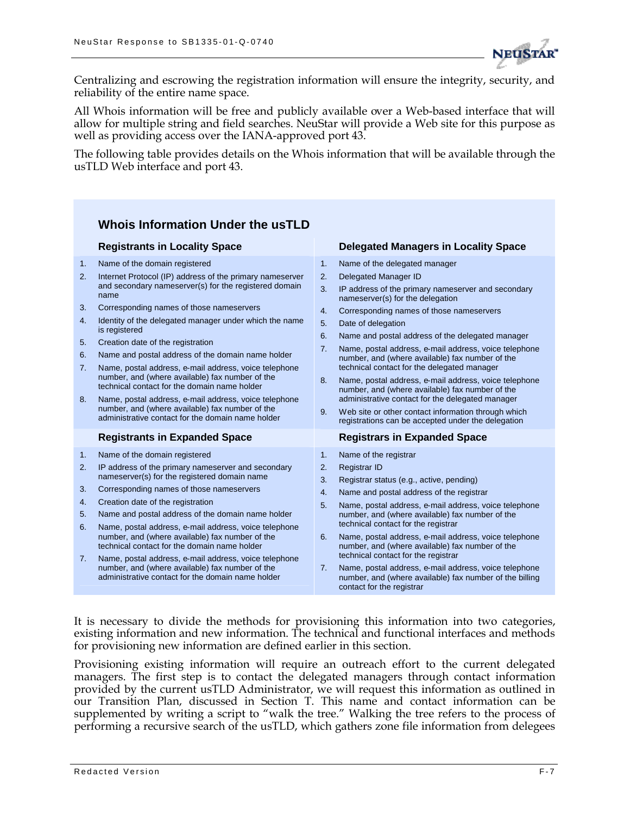

Centralizing and escrowing the registration information will ensure the integrity, security, and reliability of the entire name space.

All Whois information will be free and publicly available over a Web-based interface that will allow for multiple string and field searches. NeuStar will provide a Web site for this purpose as well as providing access over the IANA-approved port 43.

The following table provides details on the Whois information that will be available through the usTLD Web interface and port 43.

#### **Whois Information Under the usTLD Registrants in Locality Space Delegated Managers in Locality Space** 1. Name of the domain registered 2. Internet Protocol (IP) address of the primary nameserver and secondary nameserver(s) for the registered domain name 3. Corresponding names of those nameservers 4. Identity of the delegated manager under which the name is registered 5. Creation date of the registration 6. Name and postal address of the domain name holder 7. Name, postal address, e-mail address, voice telephone number, and (where available) fax number of the technical contact for the domain name holder 8. Name, postal address, e-mail address, voice telephone number, and (where available) fax number of the administrative contact for the domain name holder 1. Name of the delegated manager 2. Delegated Manager ID 3. IP address of the primary nameserver and secondary nameserver(s) for the delegation 4. Corresponding names of those nameservers 5. Date of delegation 6. Name and postal address of the delegated manager 7. Name, postal address, e-mail address, voice telephone number, and (where available) fax number of the technical contact for the delegated manager 8. Name, postal address, e-mail address, voice telephone number, and (where available) fax number of the administrative contact for the delegated manager 9. Web site or other contact information through which registrations can be accepted under the delegation **Registrants in Expanded Space Registrars in Expanded Space** 1. Name of the domain registered 2. IP address of the primary nameserver and secondary nameserver(s) for the registered domain name 3. Corresponding names of those nameservers 4. Creation date of the registration 5. Name and postal address of the domain name holder 6. Name, postal address, e-mail address, voice telephone number, and (where available) fax number of the technical contact for the domain name holder 7. Name, postal address, e-mail address, voice telephone number, and (where available) fax number of the administrative contact for the domain name holder 1. Name of the registrar 2. Registrar ID 3. Registrar status (e.g., active, pending) 4. Name and postal address of the registrar 5. Name, postal address, e-mail address, voice telephone number, and (where available) fax number of the technical contact for the registrar 6. Name, postal address, e-mail address, voice telephone number, and (where available) fax number of the technical contact for the registrar 7. Name, postal address, e-mail address, voice telephone number, and (where available) fax number of the billing contact for the registrar

It is necessary to divide the methods for provisioning this information into two categories, existing information and new information. The technical and functional interfaces and methods for provisioning new information are defined earlier in this section.

Provisioning existing information will require an outreach effort to the current delegated managers. The first step is to contact the delegated managers through contact information provided by the current usTLD Administrator, we will request this information as outlined in our Transition Plan, discussed in Section T. This name and contact information can be supplemented by writing a script to "walk the tree." Walking the tree refers to the process of performing a recursive search of the usTLD, which gathers zone file information from delegees